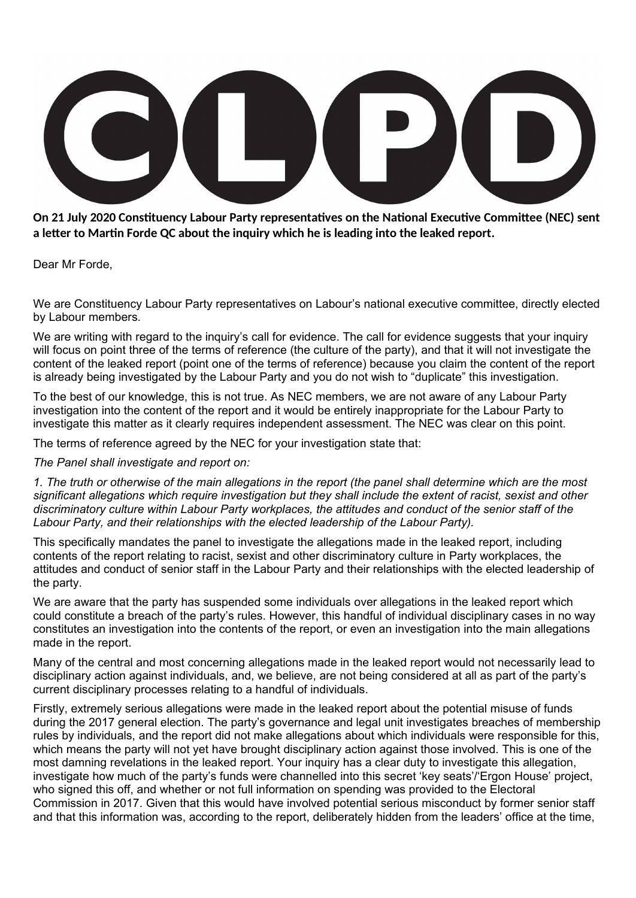**On 21 July 2020 Constituency Labour Party representatives on the National Executive Committee (NEC) sent a letter to Martin Forde QC about the inquiry which he is leading into the leaked report.**

Dear Mr Forde,

We are Constituency Labour Party representatives on Labour's national executive committee, directly elected by Labour members.

We are writing with regard to the inquiry's call for evidence. The call for evidence suggests that your inquiry will focus on point three of the terms of reference (the culture of the party), and that it will not investigate the content of the leaked report (point one of the terms of reference) because you claim the content of the report is already being investigated by the Labour Party and you do not wish to "duplicate" this investigation.

To the best of our knowledge, this is not true. As NEC members, we are not aware of any Labour Party investigation into the content of the report and it would be entirely inappropriate for the Labour Party to investigate this matter as it clearly requires independent assessment. The NEC was clear on this point.

The terms of reference agreed by the NEC for your investigation state that:

*The Panel shall investigate and report on:*

*1. The truth or otherwise of the main allegations in the report (the panel shall determine which are the most significant allegations which require investigation but they shall include the extent of racist, sexist and other discriminatory culture within Labour Party workplaces, the attitudes and conduct of the senior staff of the Labour Party, and their relationships with the elected leadership of the Labour Party).*

This specifically mandates the panel to investigate the allegations made in the leaked report, including contents of the report relating to racist, sexist and other discriminatory culture in Party workplaces, the attitudes and conduct of senior staff in the Labour Party and their relationships with the elected leadership of the party.

We are aware that the party has suspended some individuals over allegations in the leaked report which could constitute a breach of the party's rules. However, this handful of individual disciplinary cases in no way constitutes an investigation into the contents of the report, or even an investigation into the main allegations made in the report.

Many of the central and most concerning allegations made in the leaked report would not necessarily lead to disciplinary action against individuals, and, we believe, are not being considered at all as part of the party's current disciplinary processes relating to a handful of individuals.

Firstly, extremely serious allegations were made in the leaked report about the potential misuse of funds during the 2017 general election. The party's governance and legal unit investigates breaches of membership rules by individuals, and the report did not make allegations about which individuals were responsible for this, which means the party will not yet have brought disciplinary action against those involved. This is one of the most damning revelations in the leaked report. Your inquiry has a clear duty to investigate this allegation, investigate how much of the party's funds were channelled into this secret 'key seats'/'Ergon House' project, who signed this off, and whether or not full information on spending was provided to the Electoral Commission in 2017. Given that this would have involved potential serious misconduct by former senior staff and that this information was, according to the report, deliberately hidden from the leaders' office at the time,